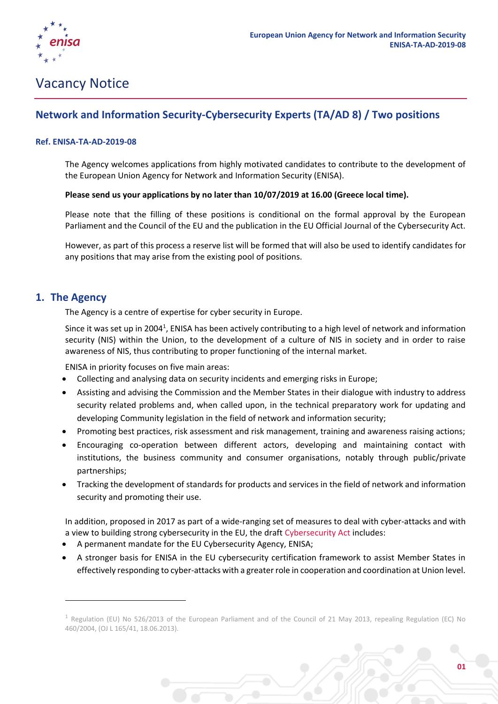

# Vacancy Notice

# **Network and Information Security-Cybersecurity Experts (TA/AD 8) / Two positions**

#### **Ref. ENISA-TA-AD-2019-08**

The Agency welcomes applications from highly motivated candidates to contribute to the development of the European Union Agency for Network and Information Security (ENISA).

#### **Please send us your applications by no later than 10/07/2019 at 16.00 (Greece local time).**

Please note that the filling of these positions is conditional on the formal approval by the European Parliament and the Council of the EU and the publication in the EU Official Journal of the Cybersecurity Act.

However, as part of this process a reserve list will be formed that will also be used to identify candidates for any positions that may arise from the existing pool of positions.

## **1. The Agency**

1

The Agency is a centre of expertise for cyber security in Europe.

Since it was set up in 2004<sup>1</sup>, ENISA has been actively contributing to a high level of network and information security (NIS) within the Union, to the development of a culture of NIS in society and in order to raise awareness of NIS, thus contributing to proper functioning of the internal market.

ENISA in priority focuses on five main areas:

- Collecting and analysing data on security incidents and emerging risks in Europe;
- Assisting and advising the Commission and the Member States in their dialogue with industry to address security related problems and, when called upon, in the technical preparatory work for updating and developing Community legislation in the field of network and information security;
- Promoting best practices, risk assessment and risk management, training and awareness raising actions;
- Encouraging co-operation between different actors, developing and maintaining contact with institutions, the business community and consumer organisations, notably through public/private partnerships;
- Tracking the development of standards for products and services in the field of network and information security and promoting their use.

In addition, proposed in 2017 as part of a wide-ranging set of measures to deal with cyber-attacks and with a view to building strong cybersecurity in the EU, the draft [Cybersecurity Act](http://europa.eu/rapid/press-release_IP-18-6759_en.htm) includes:

- A permanent mandate for the EU Cybersecurity Agency, ENISA;
- A stronger basis for ENISA in the EU cybersecurity certification framework to assist Member States in effectively responding to cyber-attacks with a greater role in cooperation and coordination at Union level.

<sup>&</sup>lt;sup>1</sup> Regulation (EU) No 526/2013 of the European Parliament and of the Council of 21 May 2013, repealing Regulation (EC) No 460/2004, (OJ L 165/41, 18.06.2013).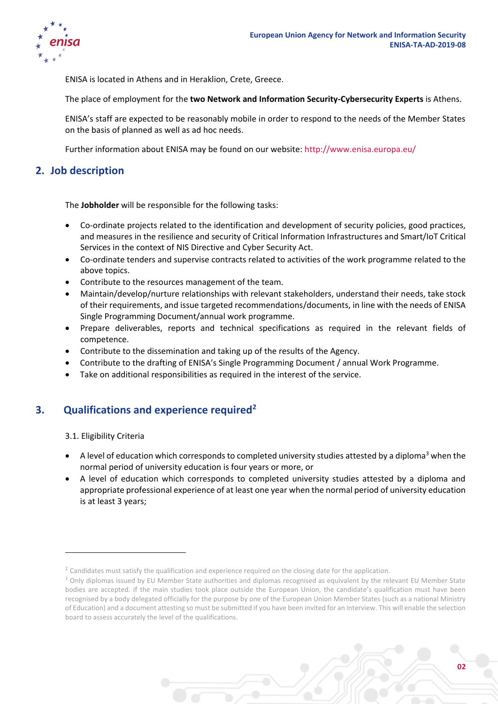

ENISA is located in Athens and in Heraklion, Crete, Greece.

The place of employment for the **two Network and Information Security-Cybersecurity Experts** is Athens.

ENISA's staff are expected to be reasonably mobile in order to respond to the needs of the Member States on the basis of planned as well as ad hoc needs.

Further information about ENISA may be found on our website:<http://www.enisa.europa.eu/>

# **2. Job description**

The **Jobholder** will be responsible for the following tasks:

- Co-ordinate projects related to the identification and development of security policies, good practices, and measures in the resilience and security of Critical Information Infrastructures and Smart/IoT Critical Services in the context of NIS Directive and Cyber Security Act.
- Co-ordinate tenders and supervise contracts related to activities of the work programme related to the above topics.
- Contribute to the resources management of the team.
- Maintain/develop/nurture relationships with relevant stakeholders, understand their needs, take stock of their requirements, and issue targeted recommendations/documents, in line with the needs of ENISA Single Programming Document/annual work programme.
- Prepare deliverables, reports and technical specifications as required in the relevant fields of competence.
- Contribute to the dissemination and taking up of the results of the Agency.
- Contribute to the drafting of ENISA's Single Programming Document / annual Work Programme.
- Take on additional responsibilities as required in the interest of the service.

# **3. Qualifications and experience required<sup>2</sup>**

3.1. Eligibility Criteria

1

- A level of education which corresponds to completed university studies attested by a diploma<sup>3</sup> when the normal period of university education is four years or more, or
- A level of education which corresponds to completed university studies attested by a diploma and appropriate professional experience of at least one year when the normal period of university education is at least 3 years;



 $2$  Candidates must satisfy the qualification and experience required on the closing date for the application.

<sup>&</sup>lt;sup>3</sup> Only diplomas issued by EU Member State authorities and diplomas recognised as equivalent by the relevant EU Member State bodies are accepted. If the main studies took place outside the European Union, the candidate's qualification must have been recognised by a body delegated officially for the purpose by one of the European Union Member States (such as a national Ministry of Education) and a document attesting so must be submitted if you have been invited for an interview. This will enable the selection board to assess accurately the level of the qualifications.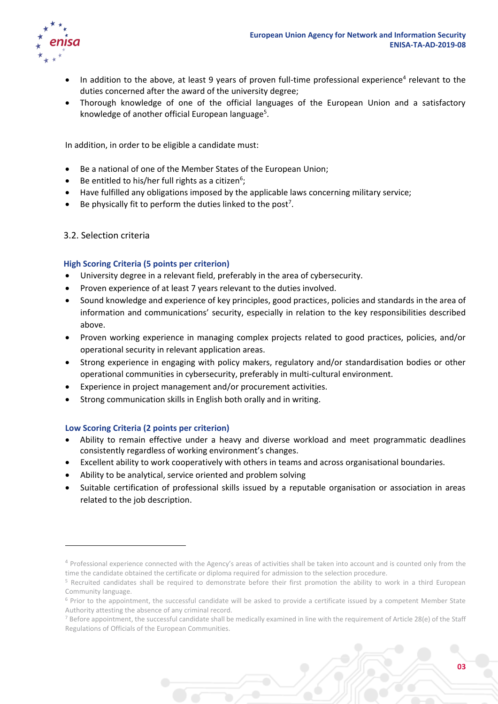

- In addition to the above, at least 9 years of proven full-time professional experience<sup>4</sup> relevant to the duties concerned after the award of the university degree;
- Thorough knowledge of one of the official languages of the European Union and a satisfactory knowledge of another official European language<sup>5</sup>.

In addition, in order to be eligible a candidate must:

- Be a national of one of the Member States of the European Union;
- $\bullet$  Be entitled to his/her full rights as a citizen<sup>6</sup>;
- Have fulfilled any obligations imposed by the applicable laws concerning military service;
- $\bullet$  Be physically fit to perform the duties linked to the post<sup>7</sup>.

#### 3.2. Selection criteria

**.** 

#### **High Scoring Criteria (5 points per criterion)**

- University degree in a relevant field, preferably in the area of cybersecurity.
- Proven experience of at least 7 years relevant to the duties involved.
- Sound knowledge and experience of key principles, good practices, policies and standards in the area of information and communications' security, especially in relation to the key responsibilities described above.
- Proven working experience in managing complex projects related to good practices, policies, and/or operational security in relevant application areas.
- Strong experience in engaging with policy makers, regulatory and/or standardisation bodies or other operational communities in cybersecurity, preferably in multi-cultural environment.
- Experience in project management and/or procurement activities.
- Strong communication skills in English both orally and in writing.

#### **Low Scoring Criteria (2 points per criterion)**

- Ability to remain effective under a heavy and diverse workload and meet programmatic deadlines consistently regardless of working environment's changes.
- Excellent ability to work cooperatively with others in teams and across organisational boundaries.
- Ability to be analytical, service oriented and problem solving
- Suitable certification of professional skills issued by a reputable organisation or association in areas related to the job description.

<sup>&</sup>lt;sup>4</sup> Professional experience connected with the Agency's areas of activities shall be taken into account and is counted only from the time the candidate obtained the certificate or diploma required for admission to the selection procedure.

<sup>&</sup>lt;sup>5</sup> Recruited candidates shall be required to demonstrate before their first promotion the ability to work in a third European Community language.

<sup>&</sup>lt;sup>6</sup> Prior to the appointment, the successful candidate will be asked to provide a certificate issued by a competent Member State Authority attesting the absence of any criminal record.

 $<sup>7</sup>$  Before appointment, the successful candidate shall be medically examined in line with the requirement of Article 28(e) of the Staff</sup> Regulations of Officials of the European Communities.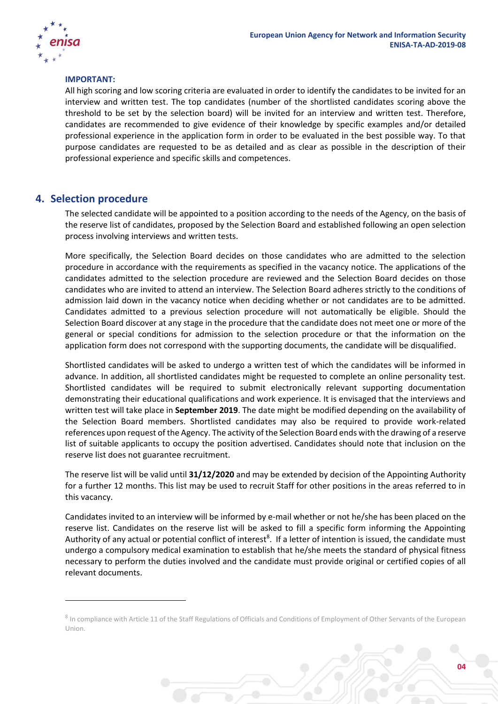#### **IMPORTANT:**

All high scoring and low scoring criteria are evaluated in order to identify the candidates to be invited for an interview and written test. The top candidates (number of the shortlisted candidates scoring above the threshold to be set by the selection board) will be invited for an interview and written test. Therefore, candidates are recommended to give evidence of their knowledge by specific examples and/or detailed professional experience in the application form in order to be evaluated in the best possible way. To that purpose candidates are requested to be as detailed and as clear as possible in the description of their professional experience and specific skills and competences.

### **4. Selection procedure**

1

The selected candidate will be appointed to a position according to the needs of the Agency, on the basis of the reserve list of candidates, proposed by the Selection Board and established following an open selection process involving interviews and written tests.

More specifically, the Selection Board decides on those candidates who are admitted to the selection procedure in accordance with the requirements as specified in the vacancy notice. The applications of the candidates admitted to the selection procedure are reviewed and the Selection Board decides on those candidates who are invited to attend an interview. The Selection Board adheres strictly to the conditions of admission laid down in the vacancy notice when deciding whether or not candidates are to be admitted. Candidates admitted to a previous selection procedure will not automatically be eligible. Should the Selection Board discover at any stage in the procedure that the candidate does not meet one or more of the general or special conditions for admission to the selection procedure or that the information on the application form does not correspond with the supporting documents, the candidate will be disqualified.

Shortlisted candidates will be asked to undergo a written test of which the candidates will be informed in advance. In addition, all shortlisted candidates might be requested to complete an online personality test. Shortlisted candidates will be required to submit electronically relevant supporting documentation demonstrating their educational qualifications and work experience. It is envisaged that the interviews and written test will take place in **September 2019**. The date might be modified depending on the availability of the Selection Board members. Shortlisted candidates may also be required to provide work-related references upon request of the Agency. The activity of the Selection Board ends with the drawing of a reserve list of suitable applicants to occupy the position advertised. Candidates should note that inclusion on the reserve list does not guarantee recruitment.

The reserve list will be valid until **31/12/2020** and may be extended by decision of the Appointing Authority for a further 12 months. This list may be used to recruit Staff for other positions in the areas referred to in this vacancy.

Candidates invited to an interview will be informed by e-mail whether or not he/she has been placed on the reserve list. Candidates on the reserve list will be asked to fill a specific form informing the Appointing Authority of any actual or potential conflict of interest<sup>8</sup>. If a letter of intention is issued, the candidate must undergo a compulsory medical examination to establish that he/she meets the standard of physical fitness necessary to perform the duties involved and the candidate must provide original or certified copies of all relevant documents.

<sup>&</sup>lt;sup>8</sup> In compliance with Article 11 of the Staff Regulations of Officials and Conditions of Employment of Other Servants of the European Union.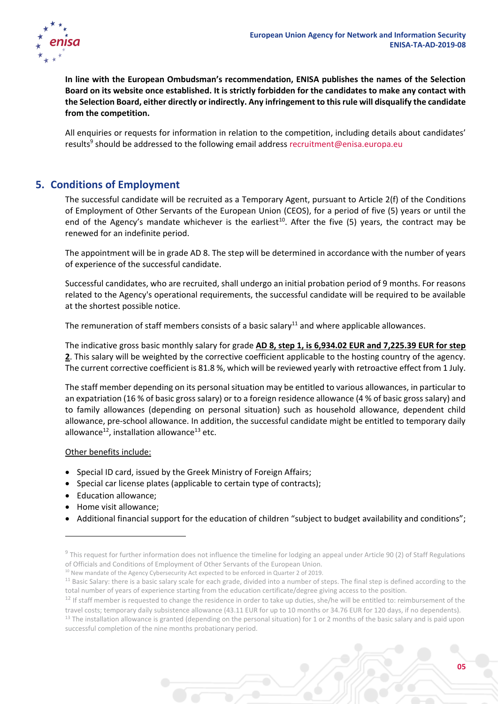**In line with the European Ombudsman's recommendation, ENISA publishes the names of the Selection Board on its website once established. It is strictly forbidden for the candidates to make any contact with the Selection Board, either directly or indirectly. Any infringement to this rule will disqualify the candidate from the competition.**

All enquiries or requests for information in relation to the competition, including details about candidates' results<sup>9</sup> should be addressed to the following email address [recruitment@enisa.europa.eu](mailto:recruitment@enisa.europa.eu)

# **5. Conditions of Employment**

The successful candidate will be recruited as a Temporary Agent, pursuant to Article 2(f) of the Conditions of Employment of Other Servants of the European Union (CEOS), for a period of five (5) years or until the end of the Agency's mandate whichever is the earliest<sup>10</sup>. After the five (5) years, the contract may be renewed for an indefinite period.

The appointment will be in grade AD 8. The step will be determined in accordance with the number of years of experience of the successful candidate.

Successful candidates, who are recruited, shall undergo an initial probation period of 9 months. For reasons related to the Agency's operational requirements, the successful candidate will be required to be available at the shortest possible notice.

The remuneration of staff members consists of a basic salary<sup>11</sup> and where applicable allowances.

The indicative gross basic monthly salary for grade **AD 8, step 1, is 6,934.02 EUR and 7,225.39 EUR for step 2**. This salary will be weighted by the corrective coefficient applicable to the hosting country of the agency. The current corrective coefficient is 81.8 %, which will be reviewed yearly with retroactive effect from 1 July.

The staff member depending on its personal situation may be entitled to various allowances, in particular to an expatriation (16 % of basic gross salary) or to a foreign residence allowance (4 % of basic gross salary) and to family allowances (depending on personal situation) such as household allowance, dependent child allowance, pre-school allowance. In addition, the successful candidate might be entitled to temporary daily allowance<sup>12</sup>, installation allowance<sup>13</sup> etc.

#### Other benefits include:

- Special ID card, issued by the Greek Ministry of Foreign Affairs;
- Special car license plates (applicable to certain type of contracts);
- Education allowance;
- Home visit allowance;

**.** 

• Additional financial support for the education of children "subject to budget availability and conditions";

 $9$  This request for further information does not influence the timeline for lodging an appeal under Article 90 (2) of Staff Regulations of Officials and Conditions of Employment of Other Servants of the European Union.

<sup>&</sup>lt;sup>10</sup> New mandate of the Agency Cybersecurity Act expected to be enforced in Quarter 2 of 2019.

<sup>&</sup>lt;sup>11</sup> Basic Salary: there is a basic salary scale for each grade, divided into a number of steps. The final step is defined according to the total number of years of experience starting from the education certificate/degree giving access to the position.

<sup>&</sup>lt;sup>12</sup> If staff member is requested to change the residence in order to take up duties, she/he will be entitled to: reimbursement of the travel costs; temporary daily subsistence allowance (43.11 EUR for up to 10 months or 34.76 EUR for 120 days, if no dependents).

 $13$  The installation allowance is granted (depending on the personal situation) for 1 or 2 months of the basic salary and is paid upon successful completion of the nine months probationary period.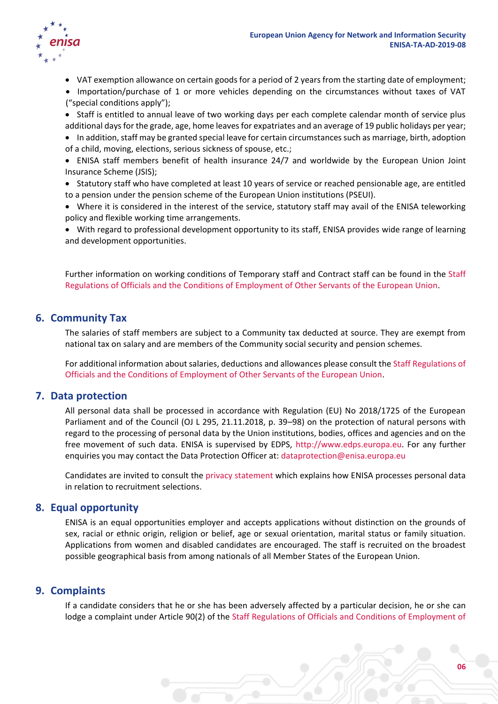

- VAT exemption allowance on certain goods for a period of 2 years from the starting date of employment;
- Importation/purchase of 1 or more vehicles depending on the circumstances without taxes of VAT ("special conditions apply");
- Staff is entitled to annual leave of two working days per each complete calendar month of service plus additional days for the grade, age, home leaves for expatriates and an average of 19 public holidays per year;
- In addition, staff may be granted special leave for certain circumstances such as marriage, birth, adoption of a child, moving, elections, serious sickness of spouse, etc.;
- ENISA staff members benefit of health insurance 24/7 and worldwide by the European Union Joint Insurance Scheme (JSIS);
- Statutory staff who have completed at least 10 years of service or reached pensionable age, are entitled to a pension under the pension scheme of the European Union institutions (PSEUI).

 Where it is considered in the interest of the service, statutory staff may avail of the ENISA teleworking policy and flexible working time arrangements.

 With regard to professional development opportunity to its staff, ENISA provides wide range of learning and development opportunities.

Further information on working conditions of Temporary staff and Contract staff can be found in the [Staff](http://eur-lex.europa.eu/legal-content/EN/TXT/?qid=1433861011292&uri=CELEX:01962R0031-20140701)  [Regulations of Officials and the Conditions of Employment of Other Servants of the European Union.](http://eur-lex.europa.eu/legal-content/EN/TXT/?qid=1433861011292&uri=CELEX:01962R0031-20140701)

## **6. Community Tax**

The salaries of staff members are subject to a Community tax deducted at source. They are exempt from national tax on salary and are members of the Community social security and pension schemes.

For additional information about salaries, deductions and allowances please consult the [Staff Regulations of](http://eur-lex.europa.eu/legal-content/EN/TXT/?qid=1433861011292&uri=CELEX:01962R0031-20140701)  Officials and the [Conditions of Employment of Other Servants of the European Union.](http://eur-lex.europa.eu/legal-content/EN/TXT/?qid=1433861011292&uri=CELEX:01962R0031-20140701)

## **7. Data protection**

All personal data shall be processed in accordance with Regulation (EU) No 2018/1725 of the European Parliament and of the Council (OJ L 295, 21.11.2018, p. 39–98) on the protection of natural persons with regard to the processing of personal data by the Union institutions, bodies, offices and agencies and on the free movement of such data. ENISA is supervised by EDPS, [http://www.edps.europa.eu.](http://www.edps.europa.eu/) For any further enquiries you may contact the Data Protection Officer at: [dataprotection@enisa.europa.eu](mailto:dataprotection@enisa.europa.eu)

Candidates are invited to consult the [privacy statement](https://www.enisa.europa.eu/recruitment/working-for-enisa/privacy-statement-in-relation-to-recruitment-at-enisa/edit) which explains how ENISA processes personal data in relation to recruitment selections.

## **8. Equal opportunity**

ENISA is an equal opportunities employer and accepts applications without distinction on the grounds of sex, racial or ethnic origin, religion or belief, age or sexual orientation, marital status or family situation. Applications from women and disabled candidates are encouraged. The staff is recruited on the broadest possible geographical basis from among nationals of all Member States of the European Union.

## **9. Complaints**

If a candidate considers that he or she has been adversely affected by a particular decision, he or she can lodge a complaint under Article 90(2) of the [Staff Regulations of Officials and Conditions of Employment of](http://eur-lex.europa.eu/legal-content/EN/TXT/?qid=1433861011292&uri=CELEX:01962R0031-20140701)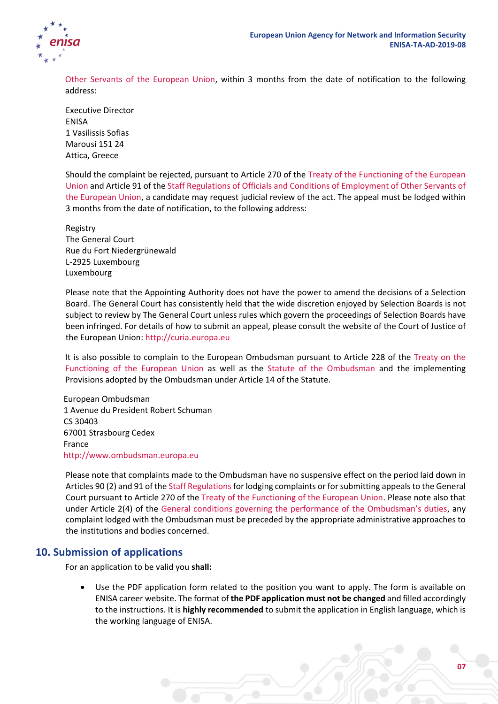

[Other Servants of the European Union,](http://eur-lex.europa.eu/legal-content/EN/TXT/?qid=1433861011292&uri=CELEX:01962R0031-20140701) within 3 months from the date of notification to the following address:

Executive Director ENISA 1 Vasilissis Sofias Marousi 151 24 Attica, Greece

Should the complaint be rejected, pursuant to Article 270 of the [Treaty of the Functioning of the European](http://eur-lex.europa.eu/legal-content/EN/TXT/PDF/?uri=CELEX:12012E/TXT&from=EN)  [Union](http://eur-lex.europa.eu/legal-content/EN/TXT/PDF/?uri=CELEX:12012E/TXT&from=EN) and Article 91 of th[e Staff Regulations of Officials and Conditions of Employment of Other Servants of](http://eur-lex.europa.eu/legal-content/EN/TXT/?qid=1433861011292&uri=CELEX:01962R0031-20140701)  [the European Union,](http://eur-lex.europa.eu/legal-content/EN/TXT/?qid=1433861011292&uri=CELEX:01962R0031-20140701) a candidate may request judicial review of the act. The appeal must be lodged within 3 months from the date of notification, to the following address:

Registry The General Court Rue du Fort Niedergrünewald L-2925 Luxembourg Luxembourg

Please note that the Appointing Authority does not have the power to amend the decisions of a Selection Board. The General Court has consistently held that the wide discretion enjoyed by Selection Boards is not subject to review by The General Court unless rules which govern the proceedings of Selection Boards have been infringed. For details of how to submit an appeal, please consult the website of the Court of Justice of the European Union: [http://curia.europa.eu](http://curia.europa.eu/)

It is also possible to complain to the European Ombudsman pursuant to Article 228 of the [Treaty on the](http://eur-lex.europa.eu/legal-content/EN/TXT/PDF/?uri=CELEX:12012E/TXT&from=EN)  [Functioning of the European Union](http://eur-lex.europa.eu/legal-content/EN/TXT/PDF/?uri=CELEX:12012E/TXT&from=EN) as well as the [Statute of the Ombudsman](https://www.ombudsman.europa.eu/en/resources/statute.faces#hl14) and the implementing Provisions adopted by the Ombudsman under Article 14 of the Statute.

European Ombudsman 1 Avenue du President Robert Schuman CS 30403 67001 Strasbourg Cedex France [http://www.ombudsman.europa.eu](http://www.ombudsman.europa.eu/)

Please note that complaints made to the Ombudsman have no suspensive effect on the period laid down in Articles 90 (2) and 91 of the Staff Regulations for lodging complaints or for submitting appeals to the General Court pursuant to Article 270 of the [Treaty of the Functioning of the European Union.](http://eur-lex.europa.eu/legal-content/EN/TXT/PDF/?uri=CELEX:12012E/TXT&from=EN) Please note also that under Article 2(4) of the G[eneral conditions governing the performance of the Ombudsman's duties](https://www.ombudsman.europa.eu/en/resources/statute.faces), any complaint lodged with the Ombudsman must be preceded by the appropriate administrative approaches to the institutions and bodies concerned.

# **10. Submission of applications**

For an application to be valid you **shall:**

 Use the PDF application form related to the position you want to apply. The form is available on ENISA career website. The format of **the PDF application must not be changed** and filled accordingly to the instructions. It is **highly recommended** to submit the application in English language, which is the working language of ENISA.